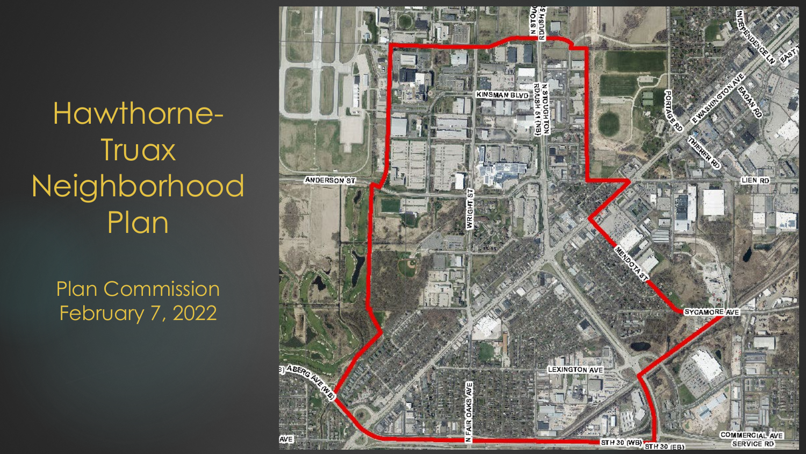Hawthorne-**Truax** Neighborhood Plan

> Plan Commission February 7, 2022

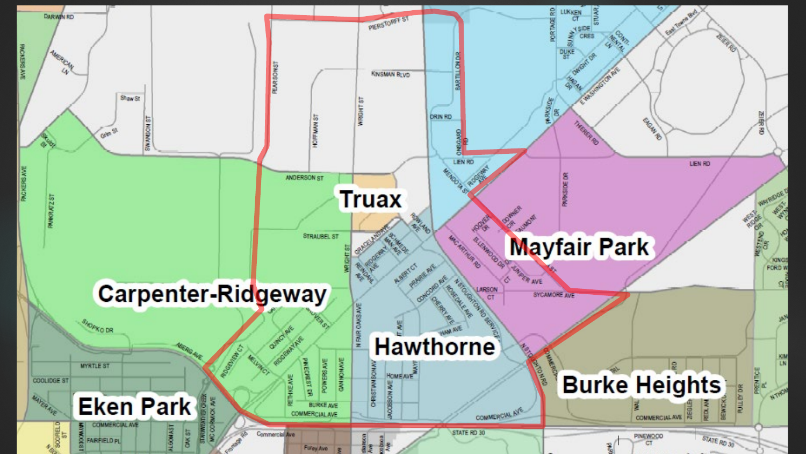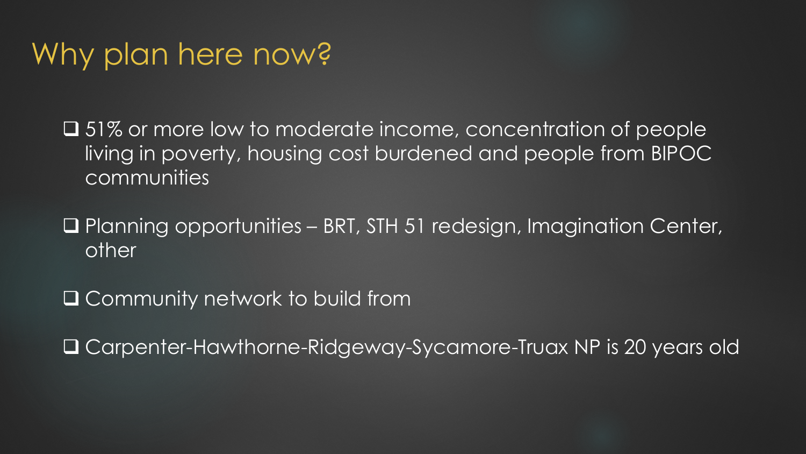## Why plan here now?

**□** 51% or more low to moderate income, concentration of people living in poverty, housing cost burdened and people from BIPOC communities

 Planning opportunities – BRT, STH 51 redesign, Imagination Center, other

**Q** Community network to build from

Carpenter-Hawthorne-Ridgeway-Sycamore-Truax NP is 20 years old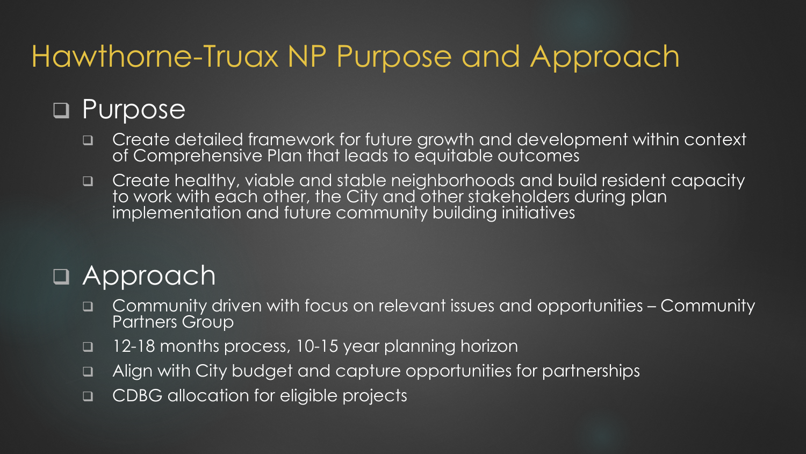# Hawthorne-Truax NP Purpose and Approach

### **D** Purpose

- Create detailed framework for future growth and development within context of Comprehensive Plan that leads to equitable outcomes
- Create healthy, viable and stable neighborhoods and build resident capacity to work with each other, the City and other stakeholders during plan implementation and future community building initiatives

### Approach

- Community driven with focus on relevant issues and opportunities Community Partners Group
- 12-18 months process, 10-15 year planning horizon
- Align with City budget and capture opportunities for partnerships
- □ CDBG allocation for eligible projects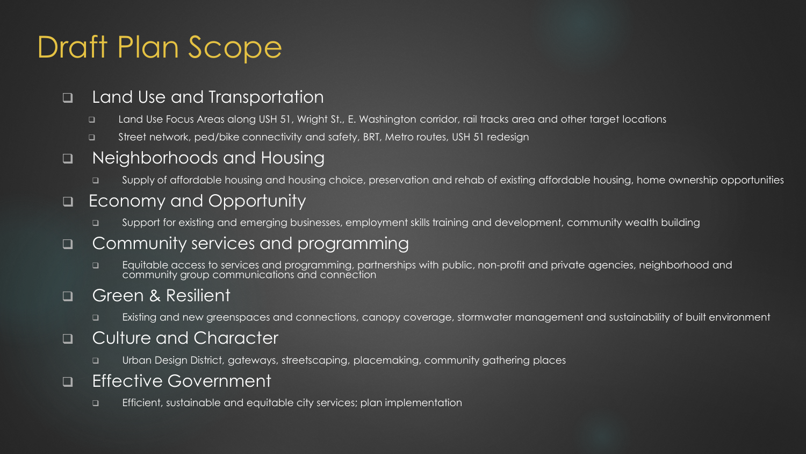# Draft Plan Scope

#### □ Land Use and Transportation

- □ Land Use Focus Areas along USH 51, Wright St., E. Washington corridor, rail tracks area and other target locations
- □ Street network, ped/bike connectivity and safety, BRT, Metro routes, USH 51 redesign

### ■ Neighborhoods and Housing

□ Supply of affordable housing and housing choice, preservation and rehab of existing affordable housing, home ownership opportunities

### ■ Economy and Opportunity

□ Support for existing and emerging businesses, employment skills training and development, community wealth building

### □ Community services and programming

□ Equitable access to services and programming, partnerships with public, non-profit and private agencies, neighborhood and community group communications and connection

### Green & Resilient

Existing and new greenspaces and connections, canopy coverage, stormwater management and sustainability of built environment

#### **Q** Culture and Character

Urban Design District, gateways, streetscaping, placemaking, community gathering places

#### □ Effective Government

□ Efficient, sustainable and equitable city services; plan implementation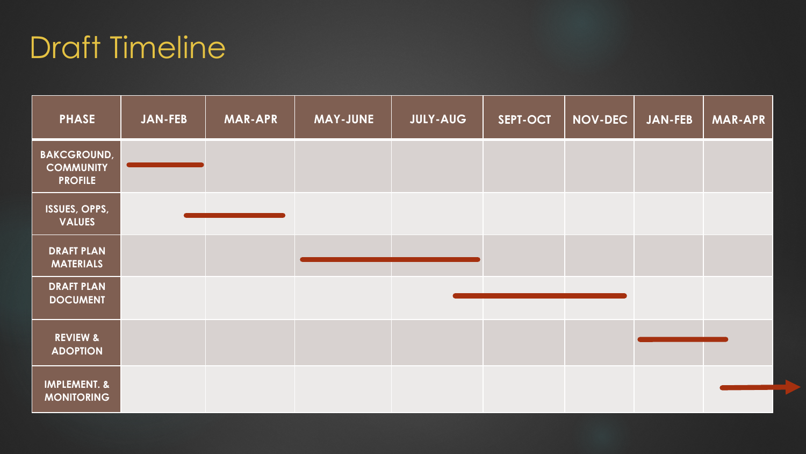# Draft Timeline

| <b>PHASE</b>                                             | <b>JAN-FEB</b> | <b>MAR-APR</b> | <b>MAY-JUNE</b> | <b>JULY-AUG</b> | SEPT-OCT | <b>NOV-DEC</b> | <b>JAN-FEB</b> | <b>MAR-APR</b> |
|----------------------------------------------------------|----------------|----------------|-----------------|-----------------|----------|----------------|----------------|----------------|
| <b>BAKCGROUND,</b><br><b>COMMUNITY</b><br><b>PROFILE</b> |                |                |                 |                 |          |                |                |                |
| ISSUES, OPPS,<br><b>VALUES</b>                           |                |                |                 |                 |          |                |                |                |
| <b>DRAFT PLAN</b><br><b>MATERIALS</b>                    |                |                |                 |                 |          |                |                |                |
| <b>DRAFT PLAN</b><br><b>DOCUMENT</b>                     |                |                |                 |                 |          |                |                |                |
| <b>REVIEW &amp;</b><br><b>ADOPTION</b>                   |                |                |                 |                 |          |                |                |                |
| <b>IMPLEMENT. &amp;</b><br><b>MONITORING</b>             |                |                |                 |                 |          |                |                |                |